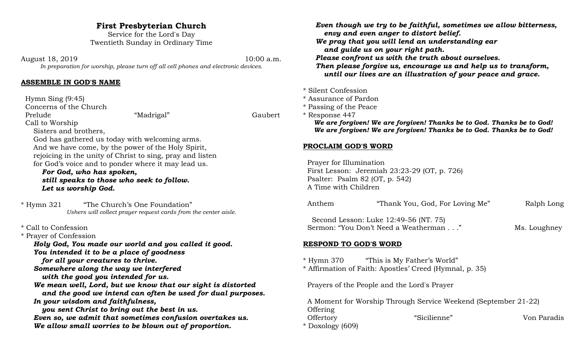# **First Presbyterian Church**

Service for the Lord's Day Twentieth Sunday in Ordinary Time

August 18, 2019 10:00 a.m. *In preparation for worship, please turn off all cell phones and electronic devices.*

#### **ASSEMBLE IN GOD'S NAME**

 Hymn Sing (9:45) Concerns of the Church Prelude "Madrigal" Gaubert Call to Worship Sisters and brothers, God has gathered us today with welcoming arms. And we have come, by the power of the Holy Spirit, rejoicing in the unity of Christ to sing, pray and listen for God's voice and to ponder where it may lead us. *For God, who has spoken, still speaks to those who seek to follow. Let us worship God.*

\* Hymn 321 "The Church's One Foundation" *Ushers will collect prayer request cards from the center aisle.*

- \* Call to Confession
- \* Prayer of Confession

*Holy God, You made our world and you called it good. You intended it to be a place of goodness*

*for all your creatures to thrive.*

*Somewhere along the way we interfered*

*with the good you intended for us.*

*We mean well, Lord, but we know that our sight is distorted and the good we intend can often be used for dual purposes. In your wisdom and faithfulness,*

*you sent Christ to bring out the best in us. Even so, we admit that sometimes confusion overtakes us. We allow small worries to be blown out of proportion.*

*Even though we try to be faithful, sometimes we allow bitterness, envy and even anger to distort belief.*

- *We pray that you will lend an understanding ear and guide us on your right path.*
- *Please confront us with the truth about ourselves.*

*Then please forgive us, encourage us and help us to transform, until our lives are an illustration of your peace and grace.* 

- \* Silent Confession
- \* Assurance of Pardon
- \* Passing of the Peace

\* Response 447  *We are forgiven! We are forgiven! Thanks be to God. Thanks be to God! We are forgiven! We are forgiven! Thanks be to God. Thanks be to God!*

## **PROCLAIM GOD'S WORD**

 Prayer for Illumination First Lesson: Jeremiah 23:23-29 (OT, p. 726) Psalter: Psalm 82 (OT, p. 542) A Time with Children

| Anthem | "Thank You, God, For Loving Me"       | Ralph Long   |
|--------|---------------------------------------|--------------|
|        | Second Lesson: Luke 12:49-56 (NT. 75) |              |
|        | Sermon: "You Don't Need a Weatherman" | Ms. Loughney |

## **RESPOND TO GOD'S WORD**

- \* Hymn 370 "This is My Father's World"
- \* Affirmation of Faith: Apostles' Creed (Hymnal, p. 35)

Prayers of the People and the Lord's Prayer

 A Moment for Worship Through Service Weekend (September 21-22) **Offering** Offertory "Sicilienne" Von Paradis \* Doxology (609)